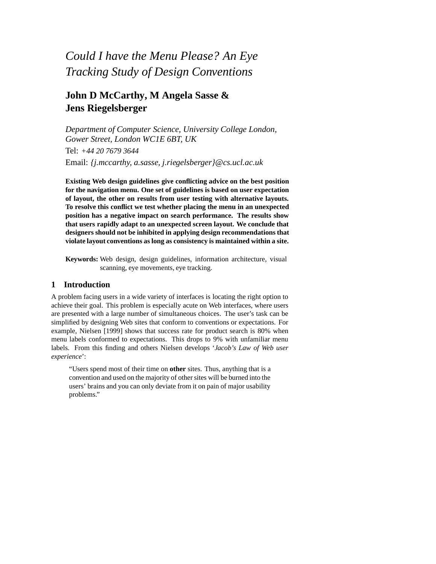### *Could I have the Menu Please? An Eye Tracking Study of Design Conventions*

### **John D McCarthy, M Angela Sasse & Jens Riegelsberger**

*Department of Computer Science, University College London, Gower Street, London WC1E 6BT, UK* Tel: *+44 20 7679 3644* Email: *{j.mccarthy, a.sasse, j.riegelsberger}@cs.ucl.ac.uk*

**Existing Web design guidelines give conflicting advice on the best position for the navigation menu. One set of guidelines is based on user expectation of layout, the other on results from user testing with alternative layouts. To resolve this conflict we test whether placing the menu in an unexpected position has a negative impact on search performance. The results show that users rapidly adapt to an unexpected screen layout. We conclude that designers should not be inhibited in applying design recommendations that violate layout conventions as long as consistency is maintained within a site.**

**Keywords:** Web design, design guidelines, information architecture, visual scanning, eye movements, eye tracking.

#### **1 Introduction**

A problem facing users in a wide variety of interfaces is locating the right option to achieve their goal. This problem is especially acute on Web interfaces, where users are presented with a large number of simultaneous choices. The user's task can be simplified by designing Web sites that conform to conventions or expectations. For example, Nielsen [1999] shows that success rate for product search is 80% when menu labels conformed to expectations. This drops to 9% with unfamiliar menu labels. From this finding and others Nielsen develops '*Jacob's Law of Web user experience*':

"Users spend most of their time on **other** sites. Thus, anything that is a convention and used on the majority of other sites will be burned into the users' brains and you can only deviate from it on pain of major usability problems."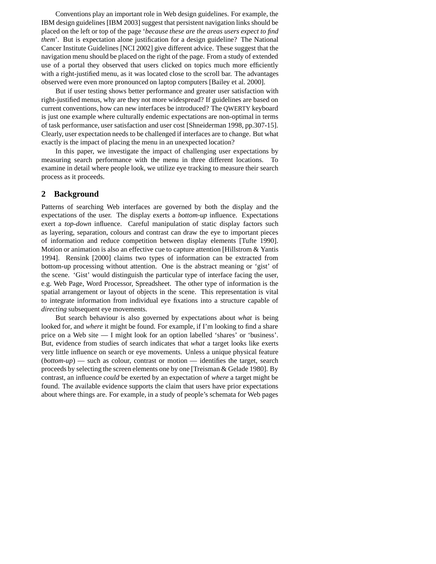Conventions play an important role in Web design guidelines. For example, the IBM design guidelines [IBM 2003] suggest that persistent navigation links should be placed on the left or top of the page '*because these are the areas users expect to find them*'. But is expectation alone justification for a design guideline? The National Cancer Institute Guidelines [NCI 2002] give different advice. These suggest that the navigation menu should be placed on the right of the page. From a study of extended use of a portal they observed that users clicked on topics much more efficiently with a right-justified menu, as it was located close to the scroll bar. The advantages observed were even more pronounced on laptop computers [Bailey et al. 2000].

But if user testing shows better performance and greater user satisfaction with right-justified menus, why are they not more widespread? If guidelines are based on current conventions, how can new interfaces be introduced? The QWERTY keyboard is just one example where culturally endemic expectations are non-optimal in terms of task performance, user satisfaction and user cost [Shneiderman 1998, pp.307-15]. Clearly, user expectation needs to be challenged if interfaces are to change. But what exactly is the impact of placing the menu in an unexpected location?

In this paper, we investigate the impact of challenging user expectations by measuring search performance with the menu in three different locations. To examine in detail where people look, we utilize eye tracking to measure their search process as it proceeds.

#### **2 Background**

Patterns of searching Web interfaces are governed by both the display and the expectations of the user. The display exerts a *bottom-up* influence. Expectations exert a *top-down* influence. Careful manipulation of static display factors such as layering, separation, colours and contrast can draw the eye to important pieces of information and reduce competition between display elements [Tufte 1990]. Motion or animation is also an effective cue to capture attention [Hillstrom & Yantis 1994]. Rensink [2000] claims two types of information can be extracted from bottom-up processing without attention. One is the abstract meaning or 'gist' of the scene. 'Gist' would distinguish the particular type of interface facing the user, e.g. Web Page, Word Processor, Spreadsheet. The other type of information is the spatial arrangement or layout of objects in the scene. This representation is vital to integrate information from individual eye fixations into a structure capable of *directing* subsequent eye movements.

But search behaviour is also governed by expectations about *what* is being looked for, and *where* it might be found. For example, if I'm looking to find a share price on a Web site — I might look for an option labelled 'shares' or 'business'. But, evidence from studies of search indicates that *what* a target looks like exerts very little influence on search or eye movements. Unless a unique physical feature (*bottom-up*) — such as colour, contrast or motion — identifies the target, search proceeds by selecting the screen elements one by one [Treisman & Gelade 1980]. By contrast, an influence *could* be exerted by an expectation of *where* a target might be found. The available evidence supports the claim that users have prior expectations about where things are. For example, in a study of people's schemata for Web pages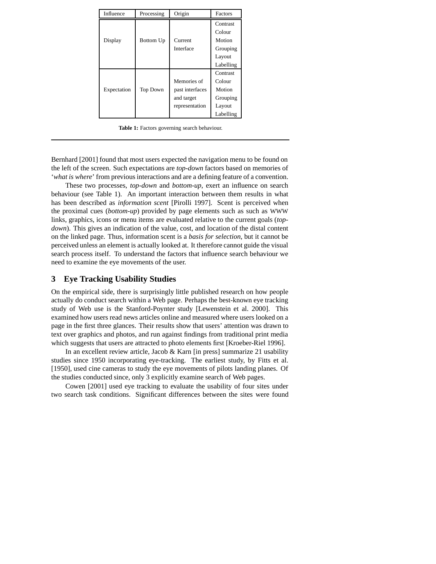| Influence   | Processing      | Origin          | Factors   |
|-------------|-----------------|-----------------|-----------|
|             |                 |                 | Contrast  |
|             |                 |                 | Colour    |
| Display     | Bottom Up       | Current         | Motion    |
|             |                 | Interface       | Grouping  |
|             |                 |                 | Layout    |
|             |                 |                 | Labelling |
|             |                 |                 | Contrast  |
|             |                 | Memories of     | Colour    |
| Expectation | <b>Top Down</b> | past interfaces | Motion    |
|             |                 | and target      | Grouping  |
|             |                 | representation  | Layout    |
|             |                 |                 | Labelling |

**Table 1:** Factors governing search behaviour.

Bernhard [2001] found that most users expected the navigation menu to be found on the left of the screen. Such expectations are *top-down* factors based on memories of '*what is where*' from previous interactions and are a defining feature of a convention.

These two processes, *top-down* and *bottom-up*, exert an influence on search behaviour (see Table 1). An important interaction between them results in what has been described as *information scent* [Pirolli 1997]. Scent is perceived when the proximal cues (*bottom-up*) provided by page elements such as such as WWW links, graphics, icons or menu items are evaluated relative to the current goals (*topdown*). This gives an indication of the value, cost, and location of the distal content on the linked page. Thus, information scent is a *basis for selection*, but it cannot be perceived unless an element is actually looked at. It therefore cannot guide the visual search process itself. To understand the factors that influence search behaviour we need to examine the eye movements of the user.

#### **3 Eye Tracking Usability Studies**

On the empirical side, there is surprisingly little published research on how people actually do conduct search within a Web page. Perhaps the best-known eye tracking study of Web use is the Stanford-Poynter study [Lewenstein et al. 2000]. This examined how users read news articles online and measured where users looked on a page in the first three glances. Their results show that users' attention was drawn to text over graphics and photos, and run against findings from traditional print media which suggests that users are attracted to photo elements first [Kroeber-Riel 1996].

In an excellent review article, Jacob & Karn [in press] summarize 21 usability studies since 1950 incorporating eye-tracking. The earliest study, by Fitts et al. [1950], used cine cameras to study the eye movements of pilots landing planes. Of the studies conducted since, only 3 explicitly examine search of Web pages.

Cowen [2001] used eye tracking to evaluate the usability of four sites under two search task conditions. Significant differences between the sites were found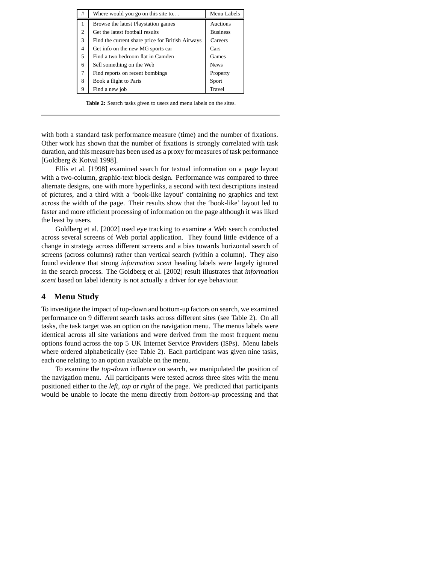| # | Where would you go on this site to               | Menu Labels     |
|---|--------------------------------------------------|-----------------|
| 1 | Browse the latest Playstation games              | Auctions        |
| 2 | Get the latest football results                  | <b>Business</b> |
| 3 | Find the current share price for British Airways | Careers         |
| 4 | Get info on the new MG sports car                | Cars            |
| 5 | Find a two bedroom flat in Camden                | Games           |
| 6 | Sell something on the Web                        | <b>News</b>     |
| 7 | Find reports on recent bombings                  | Property        |
| 8 | Book a flight to Paris                           | Sport           |
| 9 | Find a new job                                   | Travel          |

**Table 2:** Search tasks given to users and menu labels on the sites.

with both a standard task performance measure (time) and the number of fixations. Other work has shown that the number of fixations is strongly correlated with task duration, and this measure has been used as a proxy for measures of task performance [Goldberg & Kotval 1998].

Ellis et al. [1998] examined search for textual information on a page layout with a two-column, graphic-text block design. Performance was compared to three alternate designs, one with more hyperlinks, a second with text descriptions instead of pictures, and a third with a 'book-like layout' containing no graphics and text across the width of the page. Their results show that the 'book-like' layout led to faster and more efficient processing of information on the page although it was liked the least by users.

Goldberg et al. [2002] used eye tracking to examine a Web search conducted across several screens of Web portal application. They found little evidence of a change in strategy across different screens and a bias towards horizontal search of screens (across columns) rather than vertical search (within a column). They also found evidence that strong *information scent* heading labels were largely ignored in the search process. The Goldberg et al. [2002] result illustrates that *information scent* based on label identity is not actually a driver for eye behaviour.

#### **4 Menu Study**

To investigate the impact of top-down and bottom-up factors on search, we examined performance on 9 different search tasks across different sites (see Table 2). On all tasks, the task target was an option on the navigation menu. The menus labels were identical across all site variations and were derived from the most frequent menu options found across the top 5 UK Internet Service Providers (ISPs). Menu labels where ordered alphabetically (see Table 2). Each participant was given nine tasks, each one relating to an option available on the menu.

To examine the *top-down* influence on search, we manipulated the position of the navigation menu. All participants were tested across three sites with the menu positioned either to the *left*, *top* or *right* of the page. We predicted that participants would be unable to locate the menu directly from *bottom-up* processing and that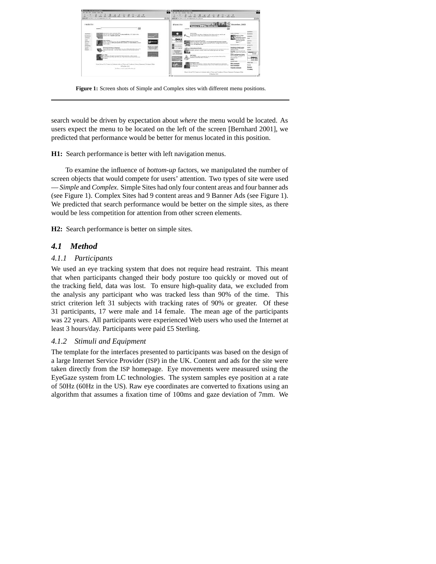

**Figure 1:** Screen shots of Simple and Complex sites with different menu positions.

search would be driven by expectation about *where* the menu would be located. As users expect the menu to be located on the left of the screen [Bernhard 2001], we predicted that performance would be better for menus located in this position.

**H1:** Search performance is better with left navigation menus.

To examine the influence of *bottom-up* factors, we manipulated the number of screen objects that would compete for users' attention. Two types of site were used — *Simple* and *Complex*. Simple Sites had only four content areas and four banner ads (see Figure 1). Complex Sites had 9 content areas and 9 Banner Ads (see Figure 1). We predicted that search performance would be better on the simple sites, as there would be less competition for attention from other screen elements.

**H2:** Search performance is better on simple sites.

#### *4.1 Method*

#### *4.1.1 Participants*

We used an eye tracking system that does not require head restraint. This meant that when participants changed their body posture too quickly or moved out of the tracking field, data was lost. To ensure high-quality data, we excluded from the analysis any participant who was tracked less than 90% of the time. This strict criterion left 31 subjects with tracking rates of 90% or greater. Of these 31 participants, 17 were male and 14 female. The mean age of the participants was 22 years. All participants were experienced Web users who used the Internet at least 3 hours/day. Participants were paid £5 Sterling.

#### *4.1.2 Stimuli and Equipment*

The template for the interfaces presented to participants was based on the design of a large Internet Service Provider (ISP) in the UK. Content and ads for the site were taken directly from the ISP homepage. Eye movements were measured using the EyeGaze system from LC technologies. The system samples eye position at a rate of 50Hz (60Hz in the US). Raw eye coordinates are converted to fixations using an algorithm that assumes a fixation time of 100ms and gaze deviation of 7mm. We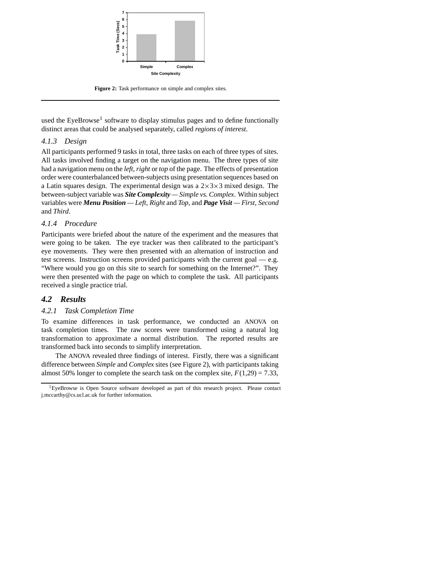

**Figure 2:** Task performance on simple and complex sites.

used the EyeBrowse<sup>1</sup> software to display stimulus pages and to define functionally distinct areas that could be analysed separately, called *regions of interest*.

#### *4.1.3 Design*

All participants performed 9 tasks in total, three tasks on each of three types of sites. All tasks involved finding a target on the navigation menu. The three types of site had a navigation menu on the *left, right* or *top* of the page. The effects of presentation order were counterbalanced between-subjects using presentation sequences based on a Latin squares design. The experimental design was a  $2 \times 3 \times 3$  mixed design. The between-subject variable was *Site Complexity — Simple vs. Complex*. Within subject variables were *Menu Position — Left, Right* and *Top*, and *Page Visit — First, Second* and *Third*.

#### *4.1.4 Procedure*

Participants were briefed about the nature of the experiment and the measures that were going to be taken. The eye tracker was then calibrated to the participant's eye movements. They were then presented with an alternation of instruction and test screens. Instruction screens provided participants with the current goal — e.g. "Where would you go on this site to search for something on the Internet?". They were then presented with the page on which to complete the task. All participants received a single practice trial.

#### *4.2 Results*

#### *4.2.1 Task Completion Time*

To examine differences in task performance, we conducted an ANOVA on task completion times. The raw scores were transformed using a natural log transformation to approximate a normal distribution. The reported results are transformed back into seconds to simplify interpretation.

The ANOVA revealed three findings of interest. Firstly, there was a significant difference between *Simple* and *Complex* sites (see Figure 2), with participants taking almost 50% longer to complete the search task on the complex site,  $F(1,29) = 7.33$ ,

<sup>&</sup>lt;sup>1</sup>EyeBrowse is Open Source software developed as part of this research project. Please contact j.mccarthy@cs.ucl.ac.uk for further information.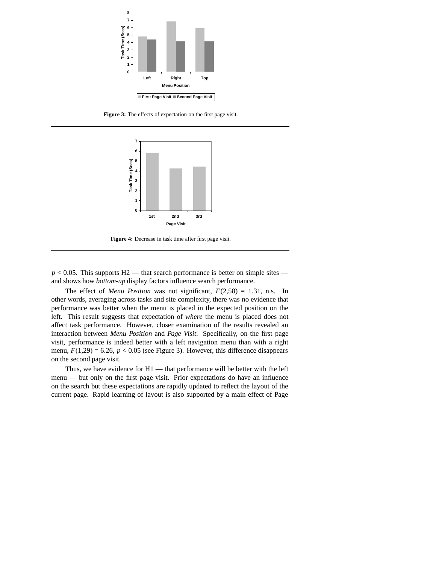

**Figure 3:** The effects of expectation on the first page visit.



**Figure 4:** Decrease in task time after first page visit.

 $p < 0.05$ . This supports H2 — that search performance is better on simple sites and shows how *bottom-up* display factors influence search performance.

The effect of *Menu Position* was not significant,  $F(2,58) = 1.31$ , n.s. In other words, averaging across tasks and site complexity, there was no evidence that performance was better when the menu is placed in the expected position on the left. This result suggests that expectation of *where* the menu is placed does not affect task performance. However, closer examination of the results revealed an interaction between *Menu Position* and *Page Visit*. Specifically, on the first page visit, performance is indeed better with a left navigation menu than with a right menu,  $F(1,29) = 6.26$ ,  $p < 0.05$  (see Figure 3). However, this difference disappears on the second page visit.

Thus, we have evidence for H1 — that performance will be better with the left menu — but only on the first page visit. Prior expectations do have an influence on the search but these expectations are rapidly updated to reflect the layout of the current page. Rapid learning of layout is also supported by a main effect of Page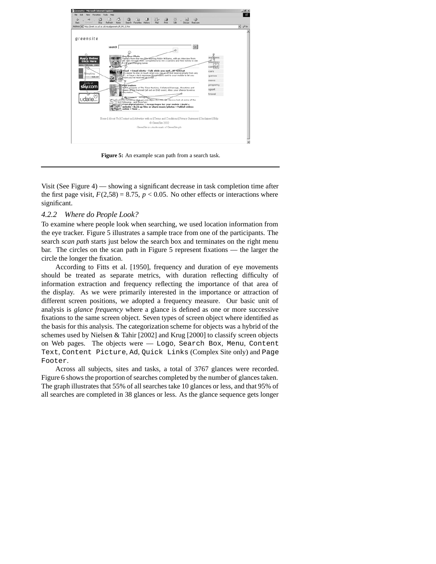

Visit (See Figure 4) — showing a significant decrease in task completion time after the first page visit,  $F(2,58) = 8.75$ ,  $p < 0.05$ . No other effects or interactions where significant.

#### *4.2.2 Where do People Look?*

To examine where people look when searching, we used location information from the eye tracker. Figure 5 illustrates a sample trace from one of the participants. The search *scan path* starts just below the search box and terminates on the right menu bar. The circles on the scan path in Figure 5 represent fixations — the larger the circle the longer the fixation.

According to Fitts et al. [1950], frequency and duration of eye movements should be treated as separate metrics, with duration reflecting difficulty of information extraction and frequency reflecting the importance of that area of the display. As we were primarily interested in the importance or attraction of different screen positions, we adopted a frequency measure. Our basic unit of analysis is *glance frequency* where a glance is defined as one or more successive fixations to the same screen object. Seven types of screen object where identified as the basis for this analysis. The categorization scheme for objects was a hybrid of the schemes used by Nielsen & Tahir [2002] and Krug [2000] to classify screen objects on Web pages. The objects were — Logo, Search Box, Menu, Content Text, Content Picture, Ad, Quick Links (Complex Site only) and Page Footer.

Across all subjects, sites and tasks, a total of 3767 glances were recorded. Figure 6 shows the proportion of searches completed by the number of glances taken. The graph illustrates that 55% of all searches take 10 glances or less, and that 95% of all searches are completed in 38 glances or less. As the glance sequence gets longer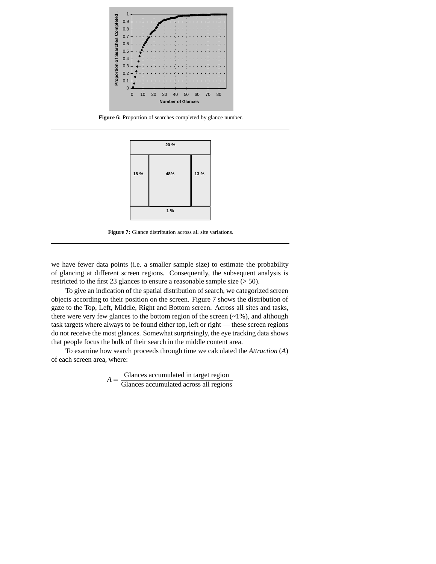

**Figure 6:** Proportion of searches completed by glance number.



**Figure 7:** Glance distribution across all site variations.

we have fewer data points (i.e. a smaller sample size) to estimate the probability of glancing at different screen regions. Consequently, the subsequent analysis is restricted to the first 23 glances to ensure a reasonable sample size (> 50).

To give an indication of the spatial distribution of search, we categorized screen objects according to their position on the screen. Figure 7 shows the distribution of gaze to the Top, Left, Middle, Right and Bottom screen. Across all sites and tasks, there were very few glances to the bottom region of the screen  $(-1%)$ , and although task targets where always to be found either top, left or right — these screen regions do not receive the most glances. Somewhat surprisingly, the eye tracking data shows that people focus the bulk of their search in the middle content area.

To examine how search proceeds through time we calculated the *Attraction* (*A*) of each screen area, where:

> $A = \frac{G$ lances accumulated in target region Glances accumulated across all regions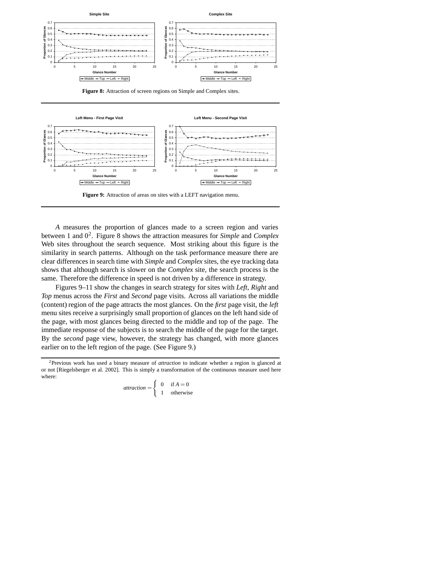

**Figure 8:** Attraction of screen regions on Simple and Complex sites.



*A* measures the proportion of glances made to a screen region and varies between 1 and 02. Figure 8 shows the attraction measures for *Simple* and *Complex* Web sites throughout the search sequence. Most striking about this figure is the similarity in search patterns. Although on the task performance measure there are clear differences in search time with *Simple* and *Complex* sites, the eye tracking data shows that although search is slower on the *Complex* site, the search process is the same. Therefore the difference in speed is not driven by a difference in strategy.

Figures 9–11 show the changes in search strategy for sites with *Left*, *Right* and *Top* menus across the *First* and *Second* page visits. Across all variations the middle (content) region of the page attracts the most glances. On the *first* page visit, the *left* menu sites receive a surprisingly small proportion of glances on the left hand side of the page, with most glances being directed to the middle and top of the page. The immediate response of the subjects is to search the middle of the page for the target. By the *second* page view, however, the strategy has changed, with more glances earlier on to the left region of the page. (See Figure 9.)

 $\textit{attraction} = \begin{cases} 0 & \text{if } A = 0 \end{cases}$ 1 otherwise

<sup>2</sup>Previous work has used a binary measure of *attraction* to indicate whether a region is glanced at or not [Riegelsberger et al. 2002]. This is simply a transformation of the continuous measure used here where: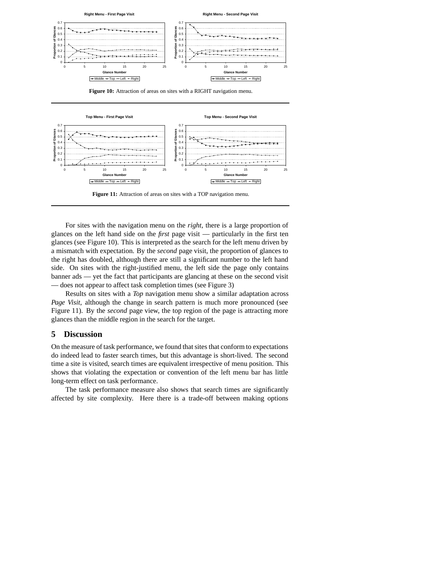

**Figure 10:** Attraction of areas on sites with a RIGHT navigation menu.



**Figure 11:** Attraction of areas on sites with a TOP navigation menu.

For sites with the navigation menu on the *right*, there is a large proportion of glances on the left hand side on the *first* page visit — particularly in the first ten glances (see Figure 10). This is interpreted as the search for the left menu driven by a mismatch with expectation. By the *second* page visit, the proportion of glances to the right has doubled, although there are still a significant number to the left hand side. On sites with the right-justified menu, the left side the page only contains banner ads — yet the fact that participants are glancing at these on the second visit — does not appear to affect task completion times (see Figure 3)

Results on sites with a *Top* navigation menu show a similar adaptation across *Page Visit*, although the change in search pattern is much more pronounced (see Figure 11). By the *second* page view, the top region of the page is attracting more glances than the middle region in the search for the target.

#### **5 Discussion**

On the measure of task performance, we found that sites that conform to expectations do indeed lead to faster search times, but this advantage is short-lived. The second time a site is visited, search times are equivalent irrespective of menu position. This shows that violating the expectation or convention of the left menu bar has little long-term effect on task performance.

The task performance measure also shows that search times are significantly affected by site complexity. Here there is a trade-off between making options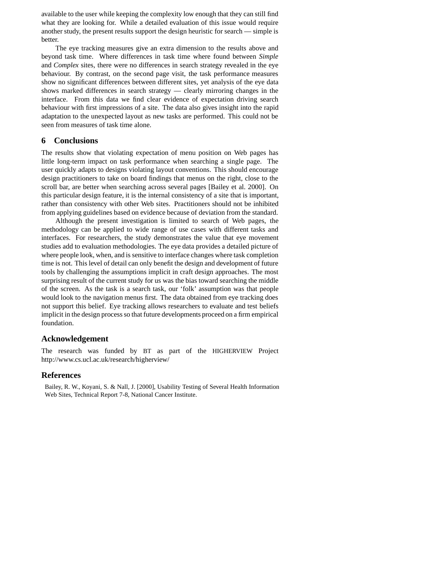available to the user while keeping the complexity low enough that they can still find what they are looking for. While a detailed evaluation of this issue would require another study, the present results support the design heuristic for search — simple is better.

The eye tracking measures give an extra dimension to the results above and beyond task time. Where differences in task time where found between *Simple* and *Complex* sites, there were no differences in search strategy revealed in the eye behaviour. By contrast, on the second page visit, the task performance measures show no significant differences between different sites, yet analysis of the eye data shows marked differences in search strategy — clearly mirroring changes in the interface. From this data we find clear evidence of expectation driving search behaviour with first impressions of a site. The data also gives insight into the rapid adaptation to the unexpected layout as new tasks are performed. This could not be seen from measures of task time alone.

#### **6 Conclusions**

The results show that violating expectation of menu position on Web pages has little long-term impact on task performance when searching a single page. The user quickly adapts to designs violating layout conventions. This should encourage design practitioners to take on board findings that menus on the right, close to the scroll bar, are better when searching across several pages [Bailey et al. 2000]. On this particular design feature, it is the internal consistency of a site that is important, rather than consistency with other Web sites. Practitioners should not be inhibited from applying guidelines based on evidence because of deviation from the standard.

Although the present investigation is limited to search of Web pages, the methodology can be applied to wide range of use cases with different tasks and interfaces. For researchers, the study demonstrates the value that eye movement studies add to evaluation methodologies. The eye data provides a detailed picture of where people look, when, and is sensitive to interface changes where task completion time is not. This level of detail can only benefit the design and development of future tools by challenging the assumptions implicit in craft design approaches. The most surprising result of the current study for us was the bias toward searching the middle of the screen. As the task is a search task, our 'folk' assumption was that people would look to the navigation menus first. The data obtained from eye tracking does not support this belief. Eye tracking allows researchers to evaluate and test beliefs implicit in the design process so that future developments proceed on a firm empirical foundation.

#### **Acknowledgement**

The research was funded by BT as part of the HIGHERVIEW Project http://www.cs.ucl.ac.uk/research/higherview/

#### **References**

Bailey, R. W., Koyani, S. & Nall, J. [2000], Usability Testing of Several Health Information Web Sites, Technical Report 7-8, National Cancer Institute.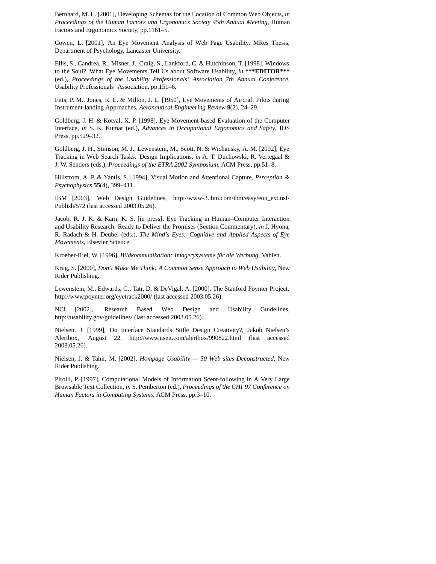Bernhard, M. L. [2001], Developing Schemas for the Location of Common Web Objects, *in Proceedings of the Human Factors and Ergonomics Society 45th Annual Meeting*, Human Factors and Ergonomics Society, pp.1161–5.

Cowen, L. [2001], An Eye Movement Analysis of Web Page Usability, MRes Thesis, Department of Psychology, Lancaster University.

Ellis, S., Candrea, R., Misner, J., Craig, S., Lankford, C. & Hutchinson, T. [1998], Windows to the Soul? What Eye Movements Tell Us about Software Usability, *in* **\*\*\*EDITOR\*\*\*** (ed.), *Proceedings of the Usability Professionals' Association 7th Annual Conference*, Usability Professionals' Association, pp.151–6.

Fitts, P. M., Jones, R. E. & Milton, J. L. [1950], Eye Movements of Aircraft Pilots during Instrument-landing Approaches, *Aeronautical Engineering Review* **9**(2), 24–29.

Goldberg, J. H. & Kotval, X. P. [1998], Eye Movement-based Evaluation of the Computer Interface, *in* S. K. Kumar (ed.), *Advances in Occupational Ergonomics and Safety*, IOS Press, pp.529–32.

Goldberg, J. H., Stimson, M. J., Lewenstein, M., Scott, N. & Wichansky, A. M. [2002], Eye Tracking in Web Search Tasks: Design Implications, *in* A. T. Duchowski, R. Vertegaal & J. W. Senders (eds.), *Proceedings of the ETRA 2002 Symposium*, ACM Press, pp.51–8.

Hillstrom, A. P. & Yantis, S. [1994], Visual Motion and Attentional Capture, *Perception & Psychophysics* **55**(4), 399–411.

IBM [2003], Web Design Guidelines, http://www-3.ibm.com/ibm/easy/eou\_ext.nsf/ Publish/572 (last accessed 2003.05.26).

Jacob, R. J. K. & Karn, K. S. [in press], Eye Tracking in Human–Computer Interaction and Usability Research: Ready to Deliver the Promises (Section Commentary), *in* J. Hyona, R. Radach & H. Deubel (eds.), *The Mind's Eyes: Cognitive and Applied Aspects of Eye Movements*, Elsevier Science.

Kroeber-Riel, W. [1996], *Bildkommunikation: Imagerysysteme für die Werbung*, Vahlen.

Krug, S. [2000], *Don't Make Me Think: A Common Sense Approach to Web Usability*, New Rider Publishing.

Lewenstein, M., Edwards, G., Tatr, D. & DeVigal, A. [2000], The Stanford Poynter Project, http://www.poynter.org/eyetrack2000/ (last accessed 2003.05.26).

NCI [2002], Research Based Web Design and Usability Guidelines, http://usability.gov/guidelines/ (last accessed 2003.05.26).

Nielsen, J. [1999], Do Interface Standards Stifle Design Creativity?, Jakob Nielsen's Alertbox, August 22. http://www.useit.com/alertbox/990822.html (last accessed 2003.05.26).

Nielsen, J. & Tahir, M. [2002], *Hompage Usability — 50 Web sites Deconstructed*, New Rider Publishing.

Pirolli, P. [1997], Computational Models of Information Scent-following in A Very Large Browsable Text Collection, *in* S. Pemberton (ed.), *Proceedings of the CHI'97 Conference on Human Factors in Computing Systems*, ACM Press, pp.3–10.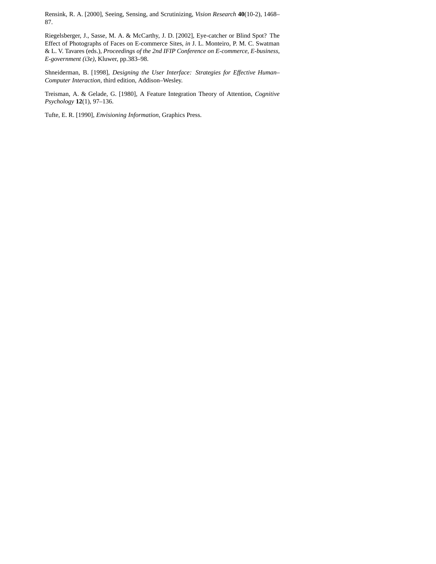Rensink, R. A. [2000], Seeing, Sensing, and Scrutinizing, *Vision Research* **40**(10-2), 1468– 87.

Riegelsberger, J., Sasse, M. A. & McCarthy, J. D. [2002], Eye-catcher or Blind Spot? The Effect of Photographs of Faces on E-commerce Sites, *in* J. L. Monteiro, P. M. C. Swatman & L. V. Tavares (eds.), *Proceedings of the 2nd IFIP Conference on E-commerce, E-business, E-government (i3e)*, Kluwer, pp.383–98.

Shneiderman, B. [1998], *Designing the User Interface: Strategies for Effective Human– Computer Interaction*, third edition, Addison–Wesley.

Treisman, A. & Gelade, G. [1980], A Feature Integration Theory of Attention, *Cognitive Psychology* **12**(1), 97–136.

Tufte, E. R. [1990], *Envisioning Information*, Graphics Press.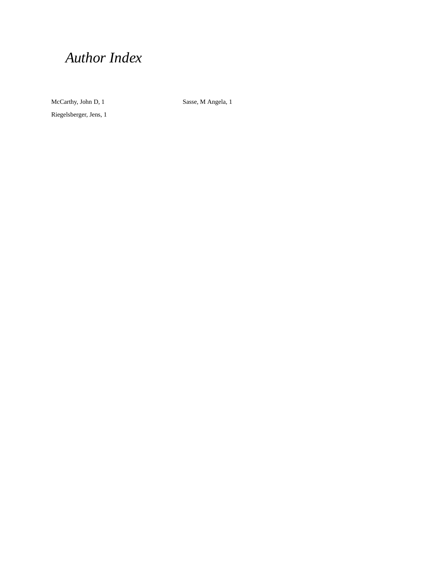## *Author Index*

McCarthy, John D, 1 Riegelsberger, Jens, 1 Sasse, M Angela, 1